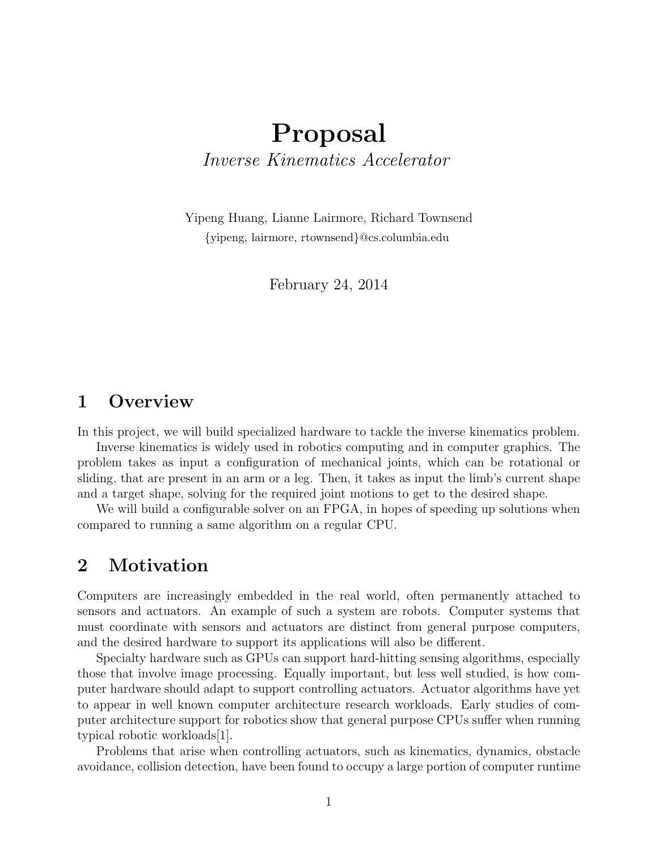# **Proposal** *Inverse Kinematics Accelerator*

Yipeng Huang, Lianne Lairmore, Richard Townsend *{*yipeng, lairmore, rtownsend*}*@cs.columbia.edu

February 24, 2014

#### **1 Overview**

In this project, we will build specialized hardware to tackle the inverse kinematics problem.

Inverse kinematics is widely used in robotics computing and in computer graphics. The problem takes as input a configuration of mechanical joints, which can be rotational or sliding, that are present in an arm or a leg. Then, it takes as input the limb's current shape and a target shape, solving for the required joint motions to get to the desired shape.

We will build a configurable solver on an FPGA, in hopes of speeding up solutions when compared to running a same algorithm on a regular CPU.

### **2 Motivation**

Computers are increasingly embedded in the real world, often permanently attached to sensors and actuators. An example of such a system are robots. Computer systems that must coordinate with sensors and actuators are distinct from general purpose computers, and the desired hardware to support its applications will also be different.

Specialty hardware such as GPUs can support hard-hitting sensing algorithms, especially those that involve image processing. Equally important, but less well studied, is how computer hardware should adapt to support controlling actuators. Actuator algorithms have yet to appear in well known computer architecture research workloads. Early studies of computer architecture support for robotics show that general purpose CPUs suffer when running typical robotic workloads[1].

Problems that arise when controlling actuators, such as kinematics, dynamics, obstacle avoidance, collision detection, have been found to occupy a large portion of computer runtime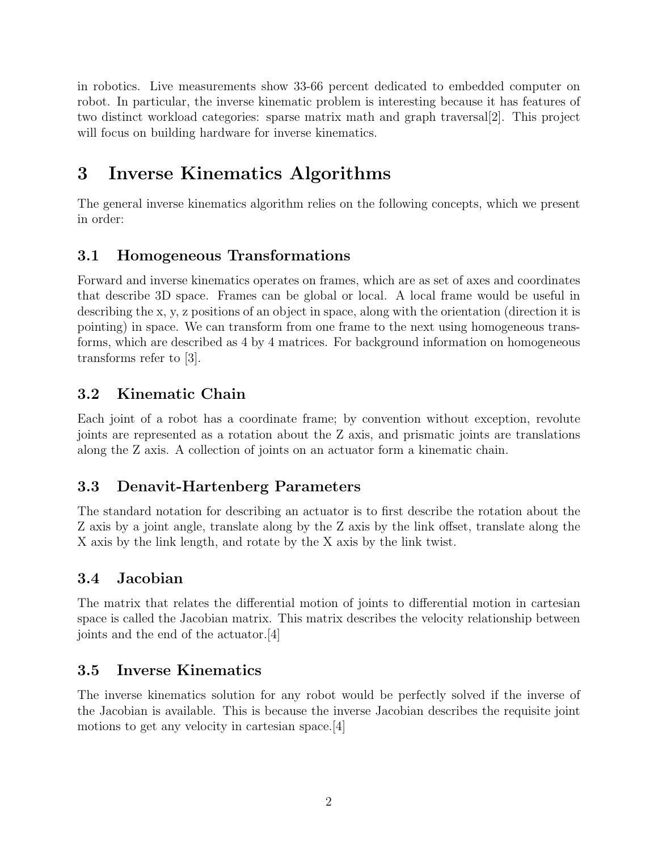in robotics. Live measurements show 33-66 percent dedicated to embedded computer on robot. In particular, the inverse kinematic problem is interesting because it has features of two distinct workload categories: sparse matrix math and graph traversal[2]. This project will focus on building hardware for inverse kinematics.

# **3 Inverse Kinematics Algorithms**

The general inverse kinematics algorithm relies on the following concepts, which we present in order:

### **3.1 Homogeneous Transformations**

Forward and inverse kinematics operates on frames, which are as set of axes and coordinates that describe 3D space. Frames can be global or local. A local frame would be useful in describing the x, y, z positions of an object in space, along with the orientation (direction it is pointing) in space. We can transform from one frame to the next using homogeneous transforms, which are described as 4 by 4 matrices. For background information on homogeneous transforms refer to [3].

### **3.2 Kinematic Chain**

Each joint of a robot has a coordinate frame; by convention without exception, revolute joints are represented as a rotation about the Z axis, and prismatic joints are translations along the Z axis. A collection of joints on an actuator form a kinematic chain.

### **3.3 Denavit-Hartenberg Parameters**

The standard notation for describing an actuator is to first describe the rotation about the Z axis by a joint angle, translate along by the Z axis by the link offset, translate along the X axis by the link length, and rotate by the X axis by the link twist.

#### **3.4 Jacobian**

The matrix that relates the differential motion of joints to differential motion in cartesian space is called the Jacobian matrix. This matrix describes the velocity relationship between joints and the end of the actuator.[4]

#### **3.5 Inverse Kinematics**

The inverse kinematics solution for any robot would be perfectly solved if the inverse of the Jacobian is available. This is because the inverse Jacobian describes the requisite joint motions to get any velocity in cartesian space.[4]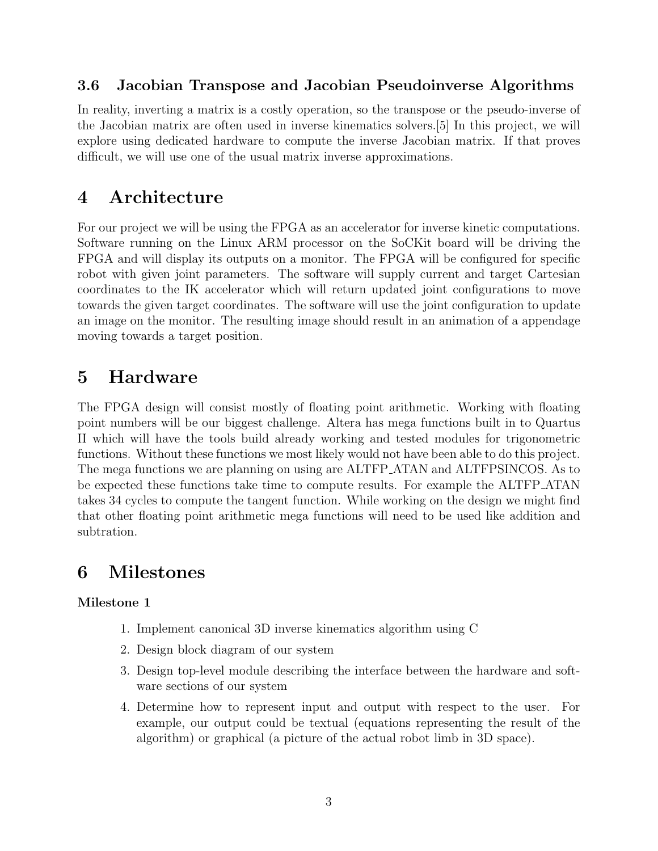#### **3.6 Jacobian Transpose and Jacobian Pseudoinverse Algorithms**

In reality, inverting a matrix is a costly operation, so the transpose or the pseudo-inverse of the Jacobian matrix are often used in inverse kinematics solvers.[5] In this project, we will explore using dedicated hardware to compute the inverse Jacobian matrix. If that proves difficult, we will use one of the usual matrix inverse approximations.

### **4 Architecture**

For our project we will be using the FPGA as an accelerator for inverse kinetic computations. Software running on the Linux ARM processor on the SoCKit board will be driving the FPGA and will display its outputs on a monitor. The FPGA will be configured for specific robot with given joint parameters. The software will supply current and target Cartesian coordinates to the IK accelerator which will return updated joint configurations to move towards the given target coordinates. The software will use the joint configuration to update an image on the monitor. The resulting image should result in an animation of a appendage moving towards a target position.

# **5 Hardware**

The FPGA design will consist mostly of floating point arithmetic. Working with floating point numbers will be our biggest challenge. Altera has mega functions built in to Quartus II which will have the tools build already working and tested modules for trigonometric functions. Without these functions we most likely would not have been able to do this project. The mega functions we are planning on using are ALTFP ATAN and ALTFPSINCOS. As to be expected these functions take time to compute results. For example the ALTFP ATAN takes 34 cycles to compute the tangent function. While working on the design we might find that other floating point arithmetic mega functions will need to be used like addition and subtration.

# **6 Milestones**

#### **Milestone 1**

- 1. Implement canonical 3D inverse kinematics algorithm using C
- 2. Design block diagram of our system
- 3. Design top-level module describing the interface between the hardware and software sections of our system
- 4. Determine how to represent input and output with respect to the user. For example, our output could be textual (equations representing the result of the algorithm) or graphical (a picture of the actual robot limb in 3D space).